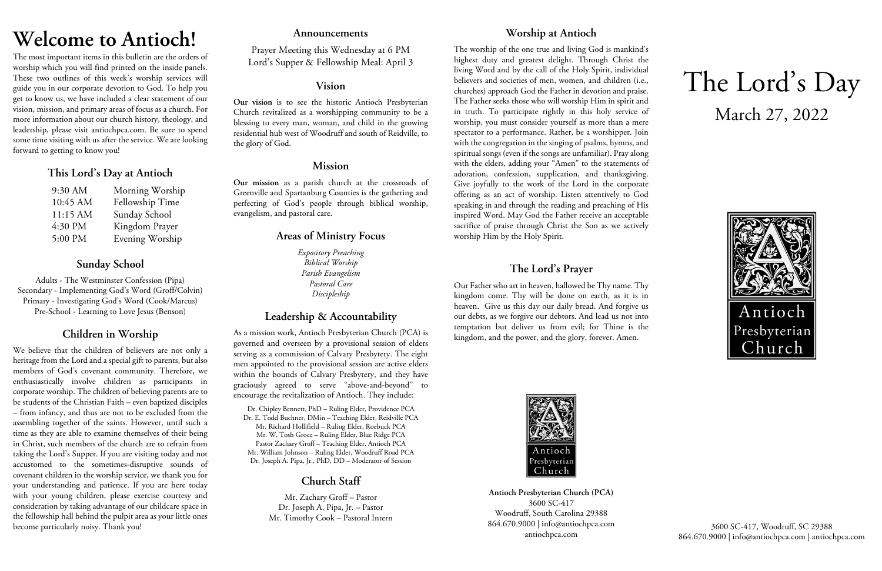# **Welcome to Antioch!**

The most important items in this bulletin are the orders of worship which you will find printed on the inside panels. These two outlines of this week's worship services will guide you in our corporate devotion to God. To help you get to know us, we have included a clear statement of our vision, mission, and primary areas of focus as a church. For more information about our church history, theology, and leadership, please visit antiochpca.com. Be sure to spend some time visiting with us after the service. We are looking forward to getting to know you!

# **This Lord's Day at Antioch**

| 9:30 AM  | Morning Worship |
|----------|-----------------|
| 10:45 AM | Fellowship Time |
| 11:15 AM | Sunday School   |
| 4:30 PM  | Kingdom Prayer  |
| 5:00 PM  | Evening Worship |

# **Sunday School**

Adults - The Westminster Confession (Pipa) Secondary - Implementing God's Word (Groff/Colvin) Primary - Investigating God's Word (Cook/Marcus) Pre-School - Learning to Love Jesus (Benson)

# **Children in Worship**

We believe that the children of believers are not only a heritage from the Lord and a special gift to parents, but also members of God's covenant community. Therefore, we enthusiastically involve children as participants in corporate worship. The children of believing parents are to be students of the Christian Faith – even baptized disciples – from infancy, and thus are not to be excluded from the assembling together of the saints. However, until such a time as they are able to examine themselves of their being in Christ, such members of the church are to refrain from taking the Lord's Supper. If you are visiting today and not accustomed to the sometimes-disruptive sounds of covenant children in the worship service, we thank you for your understanding and patience. If you are here today with your young children, please exercise courtesy and consideration by taking advantage of our childcare space in the fellowship hall behind the pulpit area as your little ones become particularly noisy. Thank you!

## **Announcements**

Prayer Meeting this Wednesday at 6 PM Lord's Supper & Fellowship Meal: April 3

## **Vision**

**Our vision** is to see the historic Antioch Presbyterian Church revitalized as a worshipping community to be a blessing to every man, woman, and child in the growing residential hub west of Woodruff and south of Reidville, to the glory of God.

# **Mission**

**Our mission** as a parish church at the crossroads of Greenville and Spartanburg Counties is the gathering and perfecting of God's people through biblical worship, evangelism, and pastoral care.

# **Areas of Ministry Focus**

*Expository Preaching Biblical Worship Parish Evangelism Pastoral Care Discipleship*

# **Leadership & Accountability**

As a mission work, Antioch Presbyterian Church (PCA) is governed and overseen by a provisional session of elders serving as a commission of Calvary Presbytery. The eight men appointed to the provisional session are active elders within the bounds of Calvary Presbytery, and they have graciously agreed to serve "above-and-beyond" to encourage the revitalization of Antioch. They include:

Dr. Chipley Bennett, PhD – Ruling Elder, Providence PCA Dr. E. Todd Buchner, DMin – Teaching Elder, Reidville PCA Mr. Richard Hollifield – Ruling Elder, Roebuck PCA Mr. W. Tosh Groce – Ruling Elder, Blue Ridge PCA Pastor Zachary Groff – Teaching Elder, Antioch PCA Mr. William Johnson – Ruling Elder, Woodruff Road PCA Dr. Joseph A. Pipa, Jr., PhD, DD – Moderator of Session

# **Church Staff**

Mr. Zachary Groff – Pastor Dr. Joseph A. Pipa, Jr. – Pastor Mr. Timothy Cook – Pastoral Intern

# **Worship at Antioch**

The worship of the one true and living God is mankind's highest duty and greatest delight. Through Christ the living Word and by the call of the Holy Spirit, individual believers and societies of men, women, and children (i.e., churches) approach God the Father in devotion and praise. The Father seeks those who will worship Him in spirit and in truth. To participate rightly in this holy service of worship, you must consider yourself as more than a mere spectator to a performance. Rather, be a worshipper. Join with the congregation in the singing of psalms, hymns, and spiritual songs (even if the songs are unfamiliar). Pray along with the elders, adding your "Amen" to the statements of adoration, confession, supplication, and thanksgiving. Give joyfully to the work of the Lord in the corporate offering as an act of worship. Listen attentively to God speaking in and through the reading and preaching of His inspired Word. May God the Father receive an acceptable sacrifice of praise through Christ the Son as we actively worship Him by the Holy Spirit.

# **The Lord's Prayer**

Our Father who art in heaven, hallowed be Thy name. Thy kingdom come. Thy will be done on earth, as it is in heaven. Give us this day our daily bread. And forgive us our debts, as we forgive our debtors. And lead us not into temptation but deliver us from evil; for Thine is the kingdom, and the power, and the glory, forever. Amen.



**Antioch Presbyterian Church (PCA)** 3600 SC-417 Woodruff, South Carolina 29388 864.670.9000 | info@antiochpca.com antiochpca.com

# The Lord's Day March 27, 2022



3600 SC-417, Woodruff, SC 29388 864.670.9000 | info@antiochpca.com | antiochpca.com